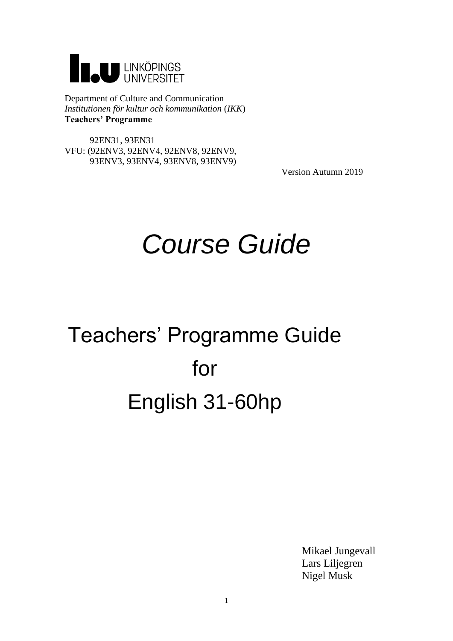

Department of Culture and Communication *Institutionen för kultur och kommunikation* (*IKK*) **Teachers' Programme**

 92EN31, 93EN31 VFU: (92ENV3, 92ENV4, 92ENV8, 92ENV9, 93ENV3, 93ENV4, 93ENV8, 93ENV9)

Version Autumn 2019

# *Course Guide*

# Teachers' Programme Guide for English 31-60hp

Mikael Jungevall Lars Liljegren Nigel Musk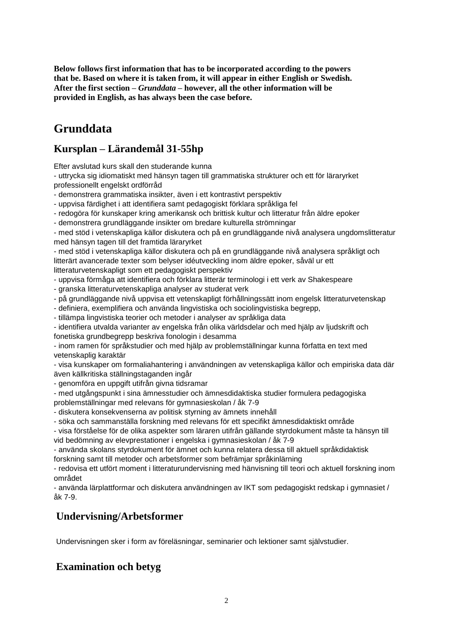**Below follows first information that has to be incorporated according to the powers that be. Based on where it is taken from, it will appear in either English or Swedish. After the first section –** *Grunddata* **– however, all the other information will be provided in English, as has always been the case before.**

# **Grunddata**

# **Kursplan – Lärandemål 31-55hp**

Efter avslutad kurs skall den studerande kunna

- uttrycka sig idiomatiskt med hänsyn tagen till grammatiska strukturer och ett för läraryrket professionellt engelskt ordförråd
- demonstrera grammatiska insikter, även i ett kontrastivt perspektiv
- uppvisa färdighet i att identifiera samt pedagogiskt förklara språkliga fel
- redogöra för kunskaper kring amerikansk och brittisk kultur och litteratur från äldre epoker
- demonstrera grundläggande insikter om bredare kulturella strömningar

- med stöd i vetenskapliga källor diskutera och på en grundläggande nivå analysera ungdomslitteratur med hänsyn tagen till det framtida läraryrket

- med stöd i vetenskapliga källor diskutera och på en grundläggande nivå analysera språkligt och litterärt avancerade texter som belyser idéutveckling inom äldre epoker, såväl ur ett litteraturvetenskapligt som ett pedagogiskt perspektiv

- uppvisa förmåga att identifiera och förklara litterär terminologi i ett verk av Shakespeare
- granska litteraturvetenskapliga analyser av studerat verk
- på grundläggande nivå uppvisa ett vetenskapligt förhållningssätt inom engelsk litteraturvetenskap
- definiera, exemplifiera och använda lingvistiska och sociolingvistiska begrepp,
- tillämpa lingvistiska teorier och metoder i analyser av språkliga data
- identifiera utvalda varianter av engelska från olika världsdelar och med hjälp av ljudskrift och fonetiska grundbegrepp beskriva fonologin i desamma

- inom ramen för språkstudier och med hjälp av problemställningar kunna författa en text med vetenskaplig karaktär

- visa kunskaper om formaliahantering i användningen av vetenskapliga källor och empiriska data där även källkritiska ställningstaganden ingår

- genomföra en uppgift utifrån givna tidsramar
- med utgångspunkt i sina ämnesstudier och ämnesdidaktiska studier formulera pedagogiska problemställningar med relevans för gymnasieskolan / åk 7-9
- diskutera konsekvenserna av politisk styrning av ämnets innehåll

- söka och sammanställa forskning med relevans för ett specifikt ämnesdidaktiskt område

- visa förståelse för de olika aspekter som läraren utifrån gällande styrdokument måste ta hänsyn till vid bedömning av elevprestationer i engelska i gymnasieskolan / åk 7-9

- använda skolans styrdokument för ämnet och kunna relatera dessa till aktuell språkdidaktisk forskning samt till metoder och arbetsformer som befrämjar språkinlärning

- redovisa ett utfört moment i litteraturundervisning med hänvisning till teori och aktuell forskning inom området

- använda lärplattformar och diskutera användningen av IKT som pedagogiskt redskap i gymnasiet / åk 7-9.

# **Undervisning/Arbetsformer**

Undervisningen sker i form av föreläsningar, seminarier och lektioner samt självstudier.

# **Examination och betyg**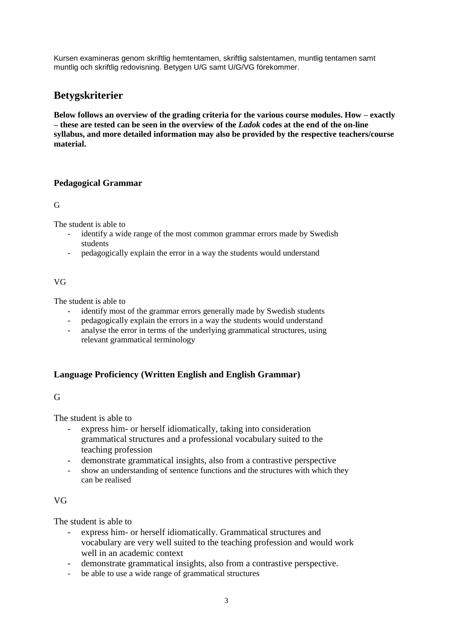Kursen examineras genom skriftlig hemtentamen, skriftlig salstentamen, muntlig tentamen samt muntlig och skriftlig redovisning. Betygen U/G samt U/G/VG förekommer.

# **Betygskriterier**

**Below follows an overview of the grading criteria for the various course modules. How – exactly – these are tested can be seen in the overview of the** *Ladok* **codes at the end of the on-line syllabus, and more detailed information may also be provided by the respective teachers/course material.**

# **Pedagogical Grammar**

G

The student is able to

- identify a wide range of the most common grammar errors made by Swedish students
- pedagogically explain the error in a way the students would understand

#### VG

The student is able to

- identify most of the grammar errors generally made by Swedish students
- pedagogically explain the errors in a way the students would understand
- analyse the error in terms of the underlying grammatical structures, using relevant grammatical terminology

## **Language Proficiency (Written English and English Grammar)**

# G

The student is able to

- express him- or herself idiomatically, taking into consideration grammatical structures and a professional vocabulary suited to the teaching profession
- demonstrate grammatical insights, also from a contrastive perspective
- show an understanding of sentence functions and the structures with which they can be realised

## VG

The student is able to

- express him- or herself idiomatically. Grammatical structures and vocabulary are very well suited to the teaching profession and would work well in an academic context
- demonstrate grammatical insights, also from a contrastive perspective.
- be able to use a wide range of grammatical structures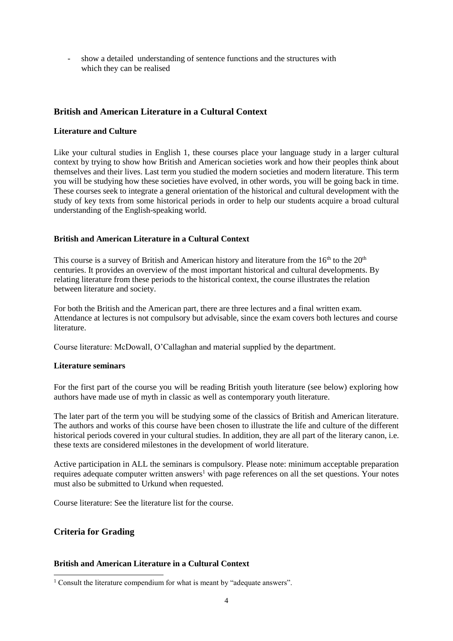- show a detailed understanding of sentence functions and the structures with which they can be realised

# **British and American Literature in a Cultural Context**

#### **Literature and Culture**

Like your cultural studies in English 1, these courses place your language study in a larger cultural context by trying to show how British and American societies work and how their peoples think about themselves and their lives. Last term you studied the modern societies and modern literature. This term you will be studying how these societies have evolved, in other words, you will be going back in time. These courses seek to integrate a general orientation of the historical and cultural development with the study of key texts from some historical periods in order to help our students acquire a broad cultural understanding of the English-speaking world.

#### **British and American Literature in a Cultural Context**

This course is a survey of British and American history and literature from the  $16<sup>th</sup>$  to the  $20<sup>th</sup>$ centuries. It provides an overview of the most important historical and cultural developments. By relating literature from these periods to the historical context, the course illustrates the relation between literature and society.

For both the British and the American part, there are three lectures and a final written exam. Attendance at lectures is not compulsory but advisable, since the exam covers both lectures and course literature.

Course literature: McDowall, O'Callaghan and material supplied by the department.

#### **Literature seminars**

For the first part of the course you will be reading British youth literature (see below) exploring how authors have made use of myth in classic as well as contemporary youth literature.

The later part of the term you will be studying some of the classics of British and American literature. The authors and works of this course have been chosen to illustrate the life and culture of the different historical periods covered in your cultural studies. In addition, they are all part of the literary canon, i.e. these texts are considered milestones in the development of world literature.

Active participation in ALL the seminars is compulsory. Please note: minimum acceptable preparation requires adequate computer written answers<sup>1</sup> with page references on all the set questions. Your notes must also be submitted to Urkund when requested.

Course literature: See the literature list for the course.

## **Criteria for Grading**

-

### **British and American Literature in a Cultural Context**

<sup>&</sup>lt;sup>1</sup> Consult the literature compendium for what is meant by "adequate answers".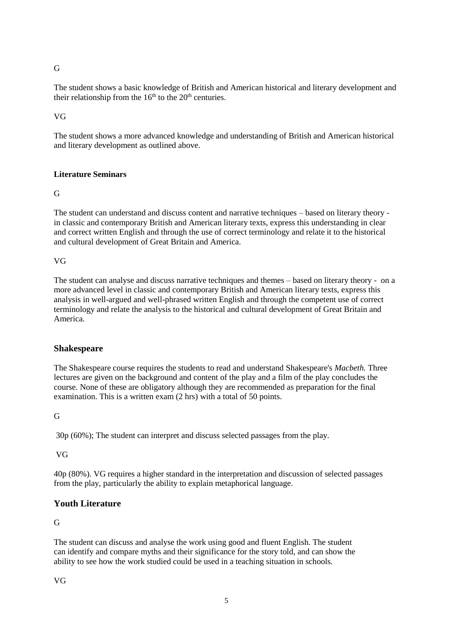#### G

The student shows a basic knowledge of British and American historical and literary development and their relationship from the  $16<sup>th</sup>$  to the  $20<sup>th</sup>$  centuries.

VG

The student shows a more advanced knowledge and understanding of British and American historical and literary development as outlined above.

## **Literature Seminars**

G

The student can understand and discuss content and narrative techniques – based on literary theory in classic and contemporary British and American literary texts, express this understanding in clear and correct written English and through the use of correct terminology and relate it to the historical and cultural development of Great Britain and America.

VG

The student can analyse and discuss narrative techniques and themes – based on literary theory - on a more advanced level in classic and contemporary British and American literary texts, express this analysis in well-argued and well-phrased written English and through the competent use of correct terminology and relate the analysis to the historical and cultural development of Great Britain and America.

#### **Shakespeare**

The Shakespeare course requires the students to read and understand Shakespeare's *Macbeth.* Three lectures are given on the background and content of the play and a film of the play concludes the course. None of these are obligatory although they are recommended as preparation for the final examination. This is a written exam (2 hrs) with a total of 50 points.

G

30p (60%); The student can interpret and discuss selected passages from the play.

VG

40p (80%). VG requires a higher standard in the interpretation and discussion of selected passages from the play, particularly the ability to explain metaphorical language.

# **Youth Literature**

## G

The student can discuss and analyse the work using good and fluent English. The student can identify and compare myths and their significance for the story told, and can show the ability to see how the work studied could be used in a teaching situation in schools.

VG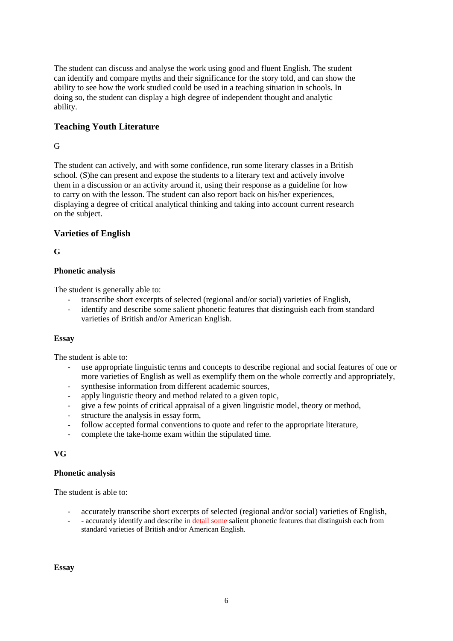The student can discuss and analyse the work using good and fluent English. The student can identify and compare myths and their significance for the story told, and can show the ability to see how the work studied could be used in a teaching situation in schools. In doing so, the student can display a high degree of independent thought and analytic ability.

# **Teaching Youth Literature**

# G

The student can actively, and with some confidence, run some literary classes in a British school. (S)he can present and expose the students to a literary text and actively involve them in a discussion or an activity around it, using their response as a guideline for how to carry on with the lesson. The student can also report back on his/her experiences, displaying a degree of critical analytical thinking and taking into account current research on the subject.

# **Varieties of English**

**G** 

## **Phonetic analysis**

The student is generally able to:

- transcribe short excerpts of selected (regional and/or social) varieties of English,
- identify and describe some salient phonetic features that distinguish each from standard varieties of British and/or American English.

#### **Essay**

The student is able to:

- use appropriate linguistic terms and concepts to describe regional and social features of one or more varieties of English as well as exemplify them on the whole correctly and appropriately,
- synthesise information from different academic sources,
- apply linguistic theory and method related to a given topic,
- give a few points of critical appraisal of a given linguistic model, theory or method,
- structure the analysis in essay form,
- follow accepted formal conventions to quote and refer to the appropriate literature,
- complete the take-home exam within the stipulated time.

#### **VG**

#### **Phonetic analysis**

The student is able to:

- accurately transcribe short excerpts of selected (regional and/or social) varieties of English,
- - accurately identify and describe in detail some salient phonetic features that distinguish each from standard varieties of British and/or American English.

**Essay**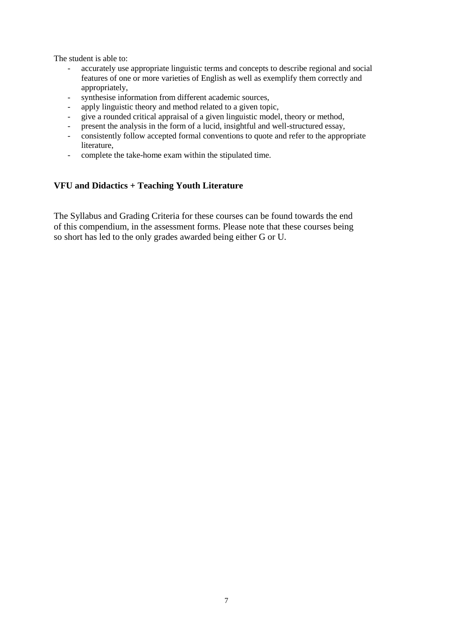The student is able to:

- accurately use appropriate linguistic terms and concepts to describe regional and social features of one or more varieties of English as well as exemplify them correctly and appropriately,
- synthesise information from different academic sources,
- apply linguistic theory and method related to a given topic,
- give a rounded critical appraisal of a given linguistic model, theory or method,
- present the analysis in the form of a lucid, insightful and well-structured essay,
- consistently follow accepted formal conventions to quote and refer to the appropriate literature,
- complete the take-home exam within the stipulated time.

# **VFU and Didactics + Teaching Youth Literature**

The Syllabus and Grading Criteria for these courses can be found towards the end of this compendium, in the assessment forms. Please note that these courses being so short has led to the only grades awarded being either G or U.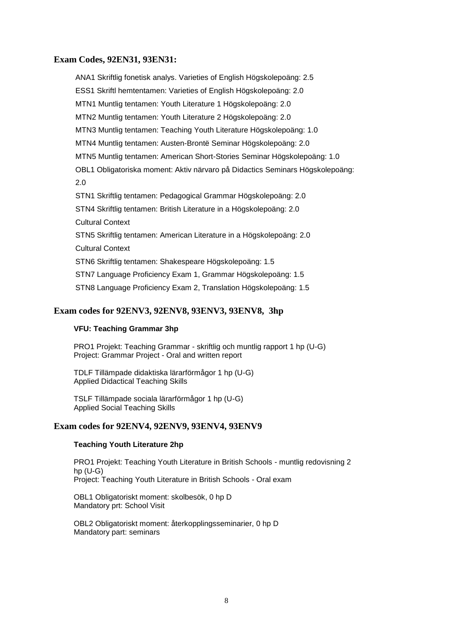#### **Exam Codes, 92EN31, 93EN31:**

ANA1 Skriftlig fonetisk analys. Varieties of English Högskolepoäng: 2.5 ESS1 Skriftl hemtentamen: Varieties of English Högskolepoäng: 2.0 MTN1 Muntlig tentamen: Youth Literature 1 Högskolepoäng: 2.0 MTN2 Muntlig tentamen: Youth Literature 2 Högskolepoäng: 2.0 MTN3 Muntlig tentamen: Teaching Youth Literature Högskolepoäng: 1.0 MTN4 Muntlig tentamen: Austen-Brontë Seminar Högskolepoäng: 2.0 MTN5 Muntlig tentamen: American Short-Stories Seminar Högskolepoäng: 1.0 OBL1 Obligatoriska moment: Aktiv närvaro på Didactics Seminars Högskolepoäng: 2.0 STN1 Skriftlig tentamen: Pedagogical Grammar Högskolepoäng: 2.0 STN4 Skriftlig tentamen: British Literature in a Högskolepoäng: 2.0 Cultural Context STN5 Skriftlig tentamen: American Literature in a Högskolepoäng: 2.0 Cultural Context STN6 Skriftlig tentamen: Shakespeare Högskolepoäng: 1.5 STN7 Language Proficiency Exam 1, Grammar Högskolepoäng: 1.5 STN8 Language Proficiency Exam 2, Translation Högskolepoäng: 1.5

#### **Exam codes for 92ENV3, 92ENV8, 93ENV3, 93ENV8, 3hp**

#### **VFU: Teaching Grammar 3hp**

PRO1 Projekt: Teaching Grammar - skriftlig och muntlig rapport 1 hp (U-G) Project: Grammar Project - Oral and written report

TDLF Tillämpade didaktiska lärarförmågor 1 hp (U-G) Applied Didactical Teaching Skills

TSLF Tillämpade sociala lärarförmågor 1 hp (U-G) Applied Social Teaching Skills

#### **Exam codes for 92ENV4, 92ENV9, 93ENV4, 93ENV9**

#### **Teaching Youth Literature 2hp**

PRO1 Projekt: Teaching Youth Literature in British Schools - muntlig redovisning 2 hp (U-G) Project: Teaching Youth Literature in British Schools - Oral exam

OBL1 Obligatoriskt moment: skolbesök, 0 hp D Mandatory prt: School Visit

OBL2 Obligatoriskt moment: återkopplingsseminarier, 0 hp D Mandatory part: seminars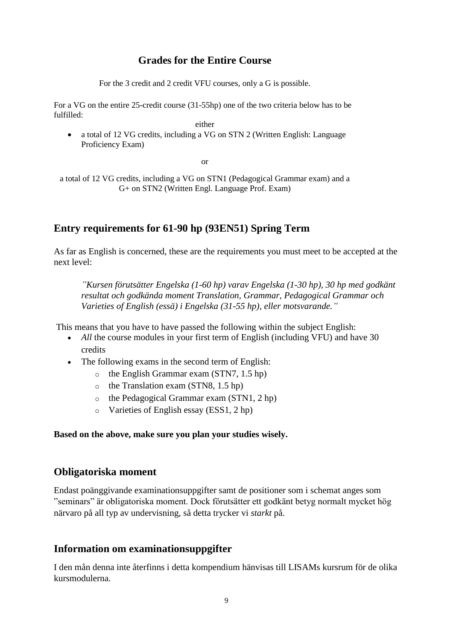# **Grades for the Entire Course**

For the 3 credit and 2 credit VFU courses, only a G is possible.

For a VG on the entire 25-credit course (31-55hp) one of the two criteria below has to be fulfilled:

either

 a total of 12 VG credits, including a VG on STN 2 (Written English: Language Proficiency Exam)

or

a total of 12 VG credits, including a VG on STN1 (Pedagogical Grammar exam) and a G+ on STN2 (Written Engl. Language Prof. Exam)

# **Entry requirements for 61-90 hp (93EN51) Spring Term**

As far as English is concerned, these are the requirements you must meet to be accepted at the next level:

*"Kursen förutsätter Engelska (1-60 hp) varav Engelska (1-30 hp), 30 hp med godkänt resultat och godkända moment Translation, Grammar, Pedagogical Grammar och Varieties of English (essä) i Engelska (31-55 hp), eller motsvarande."*

This means that you have to have passed the following within the subject English:

- *All* the course modules in your first term of English (including VFU) and have 30 credits
- The following exams in the second term of English:
	- o the English Grammar exam (STN7, 1.5 hp)
	- o the Translation exam (STN8, 1.5 hp)
	- o the Pedagogical Grammar exam (STN1, 2 hp)
	- o Varieties of English essay (ESS1, 2 hp)

## **Based on the above, make sure you plan your studies wisely.**

# **Obligatoriska moment**

Endast poänggivande examinationsuppgifter samt de positioner som i schemat anges som "seminars" är obligatoriska moment. Dock förutsätter ett godkänt betyg normalt mycket hög närvaro på all typ av undervisning, så detta trycker vi *starkt* på.

# **Information om examinationsuppgifter**

I den mån denna inte återfinns i detta kompendium hänvisas till LISAMs kursrum för de olika kursmodulerna.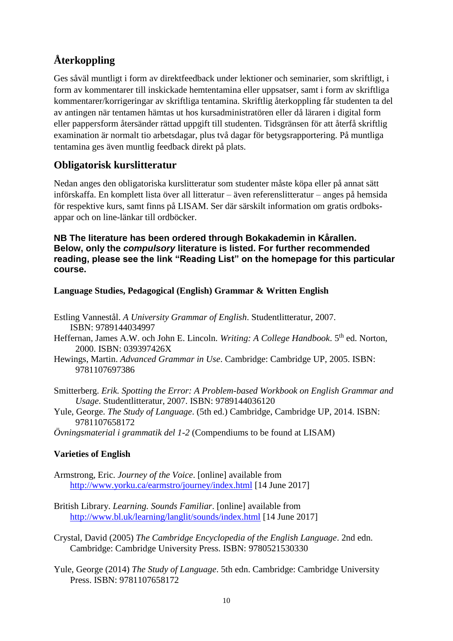# **Återkoppling**

Ges såväl muntligt i form av direktfeedback under lektioner och seminarier, som skriftligt, i form av kommentarer till inskickade hemtentamina eller uppsatser, samt i form av skriftliga kommentarer/korrigeringar av skriftliga tentamina. Skriftlig återkoppling får studenten ta del av antingen när tentamen hämtas ut hos kursadministratören eller då läraren i digital form eller pappersform återsänder rättad uppgift till studenten. Tidsgränsen för att återfå skriftlig examination är normalt tio arbetsdagar, plus två dagar för betygsrapportering. På muntliga tentamina ges även muntlig feedback direkt på plats.

# **Obligatorisk kurslitteratur**

Nedan anges den obligatoriska kurslitteratur som studenter måste köpa eller på annat sätt införskaffa. En komplett lista över all litteratur – även referenslitteratur – anges på hemsida för respektive kurs, samt finns på LISAM. Ser där särskilt information om gratis ordboksappar och on line-länkar till ordböcker.

**NB The literature has been ordered through Bokakademin in Kårallen. Below, only the** *compulsory* **literature is listed. For further recommended reading, please see the link "Reading List" on the homepage for this particular course.**

**Language Studies, Pedagogical (English) Grammar & Written English**

- Estling Vannestål. *A University Grammar of English*. Studentlitteratur, 2007. ISBN: 9789144034997
- Heffernan, James A.W. och John E. Lincoln. *Writing: A College Handbook*. 5<sup>th</sup> ed. Norton, 2000. ISBN: 039397426X
- Hewings, Martin. *Advanced Grammar in Use*. Cambridge: Cambridge UP, 2005. ISBN: 9781107697386
- Smitterberg. *Erik. Spotting the Error: A Problem-based Workbook on English Grammar and Usage*. Studentlitteratur, 2007. ISBN: 9789144036120
- Yule, George. *The Study of Language*. (5th ed.) Cambridge, Cambridge UP, 2014. ISBN: 9781107658172

*Övningsmaterial i grammatik del 1-2* (Compendiums to be found at LISAM)

# **Varieties of English**

- Armstrong, Eric. *Journey of the Voice*. [online] available from <http://www.yorku.ca/earmstro/journey/index.html> [14 June 2017]
- British Library. *Learning. Sounds Familiar*. [online] available from <http://www.bl.uk/learning/langlit/sounds/index.html> [14 June 2017]

Crystal, David (2005) *The Cambridge Encyclopedia of the English Language*. 2nd edn. Cambridge: Cambridge University Press. ISBN: 9780521530330

Yule, George (2014) *The Study of Language*. 5th edn. Cambridge: Cambridge University Press. ISBN: 9781107658172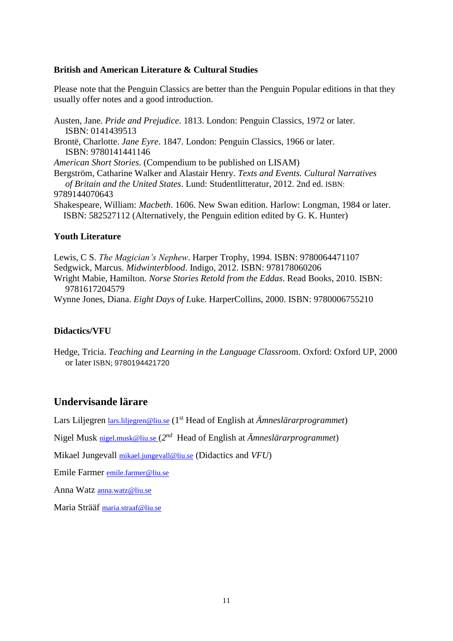#### **British and American Literature & Cultural Studies**

Please note that the Penguin Classics are better than the Penguin Popular editions in that they usually offer notes and a good introduction.

Austen, Jane. *Pride and Prejudice*. 1813. London: Penguin Classics, 1972 or later. ISBN: 0141439513

Brontë, Charlotte. *Jane Eyre*. 1847. London: Penguin Classics, 1966 or later. ISBN: 9780141441146

*American Short Stories*. (Compendium to be published on LISAM)

Bergström, Catharine Walker and Alastair Henry. *Texts and Events. Cultural Narratives of Britain and the United States*. Lund: Studentlitteratur, 2012. 2nd ed. ISBN: 9789144070643

Shakespeare, William: *Macbeth*. 1606. New Swan edition. Harlow: Longman, 1984 or later. ISBN: 582527112 (Alternatively, the Penguin edition edited by G. K. Hunter)

#### **Youth Literature**

Lewis, C S. *The Magician's Nephew*. Harper Trophy, 1994. ISBN: 9780064471107 Sedgwick, Marcus. *Midwinterblood*. Indigo, 2012. ISBN: 978178060206 Wright Mabie, Hamilton. *Norse Stories Retold from the Eddas*. Read Books, 2010. ISBN: 9781617204579 Wynne Jones, Diana. *Eight Days of L*uke. HarperCollins, 2000. ISBN: 9780006755210

## **Didactics/VFU**

Hedge, Tricia. *Teaching and Learning in the Language Classroo*m. Oxford: Oxford UP, 2000 or later ISBN; 9780194421720

# **Undervisande lärare**

Lars Liljegren **[lars.liljegren@liu.se](mailto:lars.liljegren@liu.se)** (1<sup>st</sup> Head of English at *Ämneslärarprogrammet*)

Nigel Musk [nigel.musk@liu.se](mailto:nigel.musk@liu.se) (*2 nd* Head of English at *Ämneslärarprogrammet*)

Mikael Jungevall [mikael.jungevall@liu.se](mailto:mikael.jungevall@liu.se) (Didactics and *VFU*)

Emile Farmer [emile.farmer@liu.se](mailto:emile.farmer@liu.se)

Anna Watz [anna.watz@liu.se](mailto:anna.watz@liu.se)

Maria Strääf [maria.straaf@liu.se](mailto:maria.straaf@liu.se)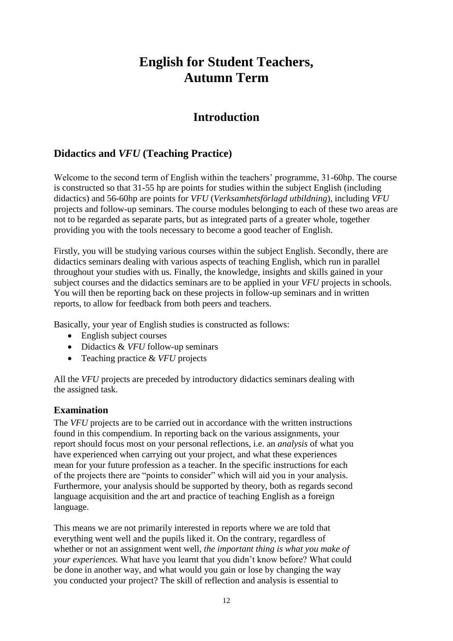# **English for Student Teachers, Autumn Term**

# **Introduction**

# **Didactics and** *VFU* **(Teaching Practice)**

Welcome to the second term of English within the teachers' programme, 31-60hp. The course is constructed so that 31-55 hp are points for studies within the subject English (including didactics) and 56-60hp are points for *VFU* (*Verksamhetsförlagd utbildning*), including *VFU* projects and follow-up seminars. The course modules belonging to each of these two areas are not to be regarded as separate parts, but as integrated parts of a greater whole, together providing you with the tools necessary to become a good teacher of English.

Firstly, you will be studying various courses within the subject English. Secondly, there are didactics seminars dealing with various aspects of teaching English, which run in parallel throughout your studies with us. Finally, the knowledge, insights and skills gained in your subject courses and the didactics seminars are to be applied in your *VFU* projects in schools. You will then be reporting back on these projects in follow-up seminars and in written reports, to allow for feedback from both peers and teachers.

Basically, your year of English studies is constructed as follows:

- English subject courses
- Didactics & *VFU* follow-up seminars
- Teaching practice & *VFU* projects

All the *VFU* projects are preceded by introductory didactics seminars dealing with the assigned task.

# **Examination**

The *VFU* projects are to be carried out in accordance with the written instructions found in this compendium. In reporting back on the various assignments, your report should focus most on your personal reflections, i.e. an *analysis* of what you have experienced when carrying out your project, and what these experiences mean for your future profession as a teacher. In the specific instructions for each of the projects there are "points to consider" which will aid you in your analysis. Furthermore, your analysis should be supported by theory, both as regards second language acquisition and the art and practice of teaching English as a foreign language.

This means we are not primarily interested in reports where we are told that everything went well and the pupils liked it. On the contrary, regardless of whether or not an assignment went well, *the important thing is what you make of your experiences.* What have you learnt that you didn't know before? What could be done in another way, and what would you gain or lose by changing the way you conducted your project? The skill of reflection and analysis is essential to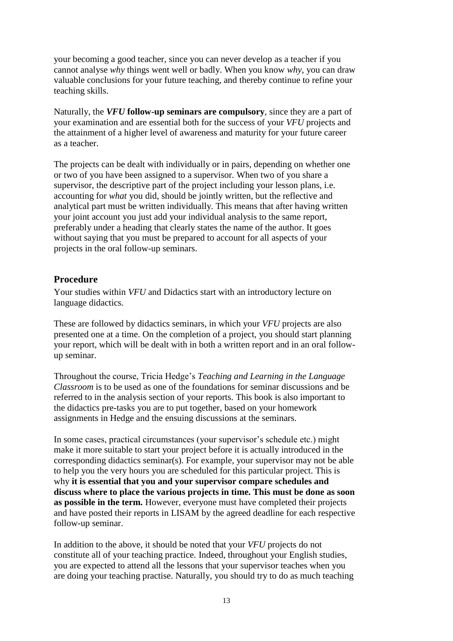your becoming a good teacher, since you can never develop as a teacher if you cannot analyse *why* things went well or badly. When you know *why*, you can draw valuable conclusions for your future teaching, and thereby continue to refine your teaching skills.

Naturally, the *VFU* **follow-up seminars are compulsory**, since they are a part of your examination and are essential both for the success of your *VFU* projects and the attainment of a higher level of awareness and maturity for your future career as a teacher.

The projects can be dealt with individually or in pairs, depending on whether one or two of you have been assigned to a supervisor. When two of you share a supervisor, the descriptive part of the project including your lesson plans, i.e. accounting for *what* you did, should be jointly written, but the reflective and analytical part must be written individually. This means that after having written your joint account you just add your individual analysis to the same report, preferably under a heading that clearly states the name of the author. It goes without saying that you must be prepared to account for all aspects of your projects in the oral follow-up seminars.

# **Procedure**

Your studies within *VFU* and Didactics start with an introductory lecture on language didactics.

These are followed by didactics seminars, in which your *VFU* projects are also presented one at a time. On the completion of a project, you should start planning your report, which will be dealt with in both a written report and in an oral followup seminar.

Throughout the course, Tricia Hedge's *Teaching and Learning in the Language Classroom* is to be used as one of the foundations for seminar discussions and be referred to in the analysis section of your reports. This book is also important to the didactics pre-tasks you are to put together, based on your homework assignments in Hedge and the ensuing discussions at the seminars.

In some cases, practical circumstances (your supervisor's schedule etc.) might make it more suitable to start your project before it is actually introduced in the corresponding didactics seminar(s). For example, your supervisor may not be able to help you the very hours you are scheduled for this particular project. This is why **it is essential that you and your supervisor compare schedules and discuss where to place the various projects in time. This must be done as soon as possible in the term.** However, everyone must have completed their projects and have posted their reports in LISAM by the agreed deadline for each respective follow-up seminar.

In addition to the above, it should be noted that your *VFU* projects do not constitute all of your teaching practice. Indeed, throughout your English studies, you are expected to attend all the lessons that your supervisor teaches when you are doing your teaching practise. Naturally, you should try to do as much teaching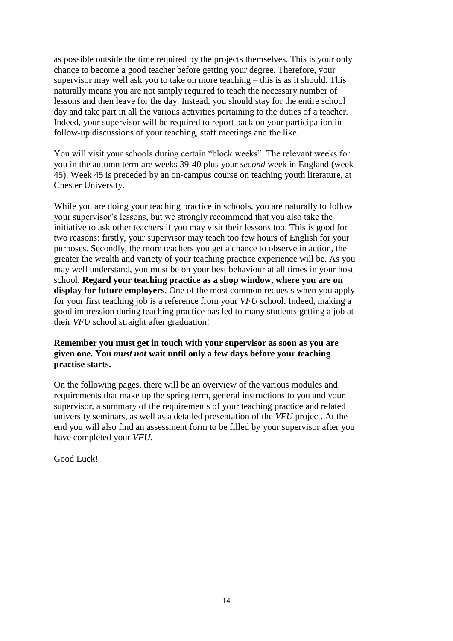as possible outside the time required by the projects themselves. This is your only chance to become a good teacher before getting your degree. Therefore, your supervisor may well ask you to take on more teaching – this is as it should. This naturally means you are not simply required to teach the necessary number of lessons and then leave for the day. Instead, you should stay for the entire school day and take part in all the various activities pertaining to the duties of a teacher. Indeed, your supervisor will be required to report back on your participation in follow-up discussions of your teaching, staff meetings and the like.

You will visit your schools during certain "block weeks". The relevant weeks for you in the autumn term are weeks 39-40 plus your *second* week in England (week 45). Week 45 is preceded by an on-campus course on teaching youth literature, at Chester University.

While you are doing your teaching practice in schools, you are naturally to follow your supervisor's lessons, but we strongly recommend that you also take the initiative to ask other teachers if you may visit their lessons too. This is good for two reasons: firstly, your supervisor may teach too few hours of English for your purposes. Secondly, the more teachers you get a chance to observe in action, the greater the wealth and variety of your teaching practice experience will be. As you may well understand, you must be on your best behaviour at all times in your host school. **Regard your teaching practice as a shop window, where you are on display for future employers**. One of the most common requests when you apply for your first teaching job is a reference from your *VFU* school. Indeed, making a good impression during teaching practice has led to many students getting a job at their *VFU* school straight after graduation!

# **Remember you must get in touch with your supervisor as soon as you are given one. You** *must not* **wait until only a few days before your teaching practise starts.**

On the following pages, there will be an overview of the various modules and requirements that make up the spring term, general instructions to you and your supervisor, a summary of the requirements of your teaching practice and related university seminars, as well as a detailed presentation of the *VFU* project. At the end you will also find an assessment form to be filled by your supervisor after you have completed your *VFU*.

Good Luck!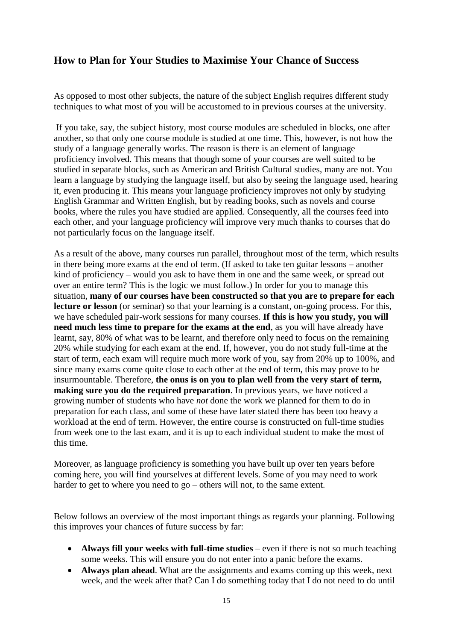# **How to Plan for Your Studies to Maximise Your Chance of Success**

As opposed to most other subjects, the nature of the subject English requires different study techniques to what most of you will be accustomed to in previous courses at the university.

If you take, say, the subject history, most course modules are scheduled in blocks, one after another, so that only one course module is studied at one time. This, however, is not how the study of a language generally works. The reason is there is an element of language proficiency involved. This means that though some of your courses are well suited to be studied in separate blocks, such as American and British Cultural studies, many are not. You learn a language by studying the language itself, but also by seeing the language used, hearing it, even producing it. This means your language proficiency improves not only by studying English Grammar and Written English, but by reading books, such as novels and course books, where the rules you have studied are applied. Consequently, all the courses feed into each other, and your language proficiency will improve very much thanks to courses that do not particularly focus on the language itself.

As a result of the above, many courses run parallel, throughout most of the term, which results in there being more exams at the end of term. (If asked to take ten guitar lessons – another kind of proficiency – would you ask to have them in one and the same week, or spread out over an entire term? This is the logic we must follow.) In order for you to manage this situation, **many of our courses have been constructed so that you are to prepare for each lecture or lesson** (or seminar) so that your learning is a constant, on-going process. For this, we have scheduled pair-work sessions for many courses. **If this is how you study, you will need much less time to prepare for the exams at the end**, as you will have already have learnt, say, 80% of what was to be learnt, and therefore only need to focus on the remaining 20% while studying for each exam at the end. If, however, you do not study full-time at the start of term, each exam will require much more work of you, say from 20% up to 100%, and since many exams come quite close to each other at the end of term, this may prove to be insurmountable. Therefore, **the onus is on you to plan well from the very start of term, making sure you do the required preparation**. In previous years, we have noticed a growing number of students who have *not* done the work we planned for them to do in preparation for each class, and some of these have later stated there has been too heavy a workload at the end of term. However, the entire course is constructed on full-time studies from week one to the last exam, and it is up to each individual student to make the most of this time.

Moreover, as language proficiency is something you have built up over ten years before coming here, you will find yourselves at different levels. Some of you may need to work harder to get to where you need to go – others will not, to the same extent.

Below follows an overview of the most important things as regards your planning. Following this improves your chances of future success by far:

- **Always fill your weeks with full-time studies** even if there is not so much teaching some weeks. This will ensure you do not enter into a panic before the exams.
- **Always plan ahead**. What are the assignments and exams coming up this week, next week, and the week after that? Can I do something today that I do not need to do until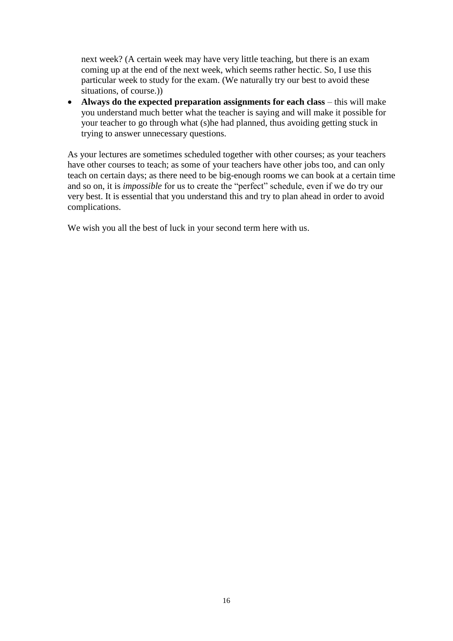next week? (A certain week may have very little teaching, but there is an exam coming up at the end of the next week, which seems rather hectic. So, I use this particular week to study for the exam. (We naturally try our best to avoid these situations, of course.))

• Always do the expected preparation assignments for each class – this will make you understand much better what the teacher is saying and will make it possible for your teacher to go through what (s)he had planned, thus avoiding getting stuck in trying to answer unnecessary questions.

As your lectures are sometimes scheduled together with other courses; as your teachers have other courses to teach; as some of your teachers have other jobs too, and can only teach on certain days; as there need to be big-enough rooms we can book at a certain time and so on, it is *impossible* for us to create the "perfect" schedule, even if we do try our very best. It is essential that you understand this and try to plan ahead in order to avoid complications.

We wish you all the best of luck in your second term here with us.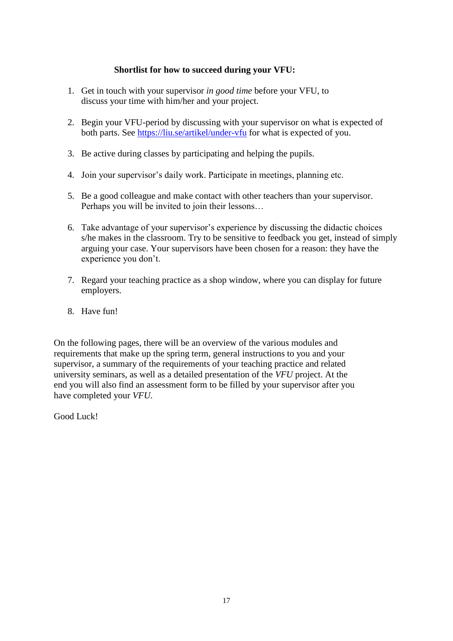# **Shortlist for how to succeed during your VFU:**

- 1. Get in touch with your supervisor *in good time* before your VFU, to discuss your time with him/her and your project.
- 2. Begin your VFU-period by discussing with your supervisor on what is expected of both parts. See <https://liu.se/artikel/under-vfu> for what is expected of you.
- 3. Be active during classes by participating and helping the pupils.
- 4. Join your supervisor's daily work. Participate in meetings, planning etc.
- 5. Be a good colleague and make contact with other teachers than your supervisor. Perhaps you will be invited to join their lessons…
- 6. Take advantage of your supervisor's experience by discussing the didactic choices s/he makes in the classroom. Try to be sensitive to feedback you get, instead of simply arguing your case. Your supervisors have been chosen for a reason: they have the experience you don't.
- 7. Regard your teaching practice as a shop window, where you can display for future employers.
- 8. Have fun!

On the following pages, there will be an overview of the various modules and requirements that make up the spring term, general instructions to you and your supervisor, a summary of the requirements of your teaching practice and related university seminars, as well as a detailed presentation of the *VFU* project. At the end you will also find an assessment form to be filled by your supervisor after you have completed your *VFU*.

Good Luck!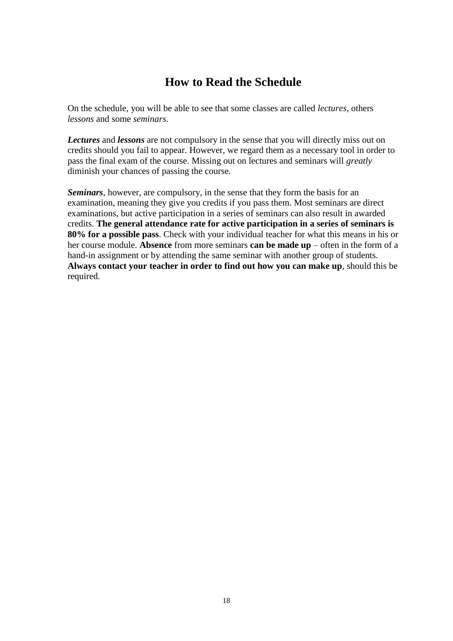# **How to Read the Schedule**

On the schedule, you will be able to see that some classes are called *lectures*, others *lessons* and some *seminars*.

*Lectures* and *lessons* are not compulsory in the sense that you will directly miss out on credits should you fail to appear. However, we regard them as a necessary tool in order to pass the final exam of the course. Missing out on lectures and seminars will *greatly* diminish your chances of passing the course.

*Seminars*, however, are compulsory, in the sense that they form the basis for an examination, meaning they give you credits if you pass them. Most seminars are direct examinations, but active participation in a series of seminars can also result in awarded credits. **The general attendance rate for active participation in a series of seminars is 80% for a possible pass**. Check with your individual teacher for what this means in his or her course module. **Absence** from more seminars **can be made up** – often in the form of a hand-in assignment or by attending the same seminar with another group of students. **Always contact your teacher in order to find out how you can make up**, should this be required.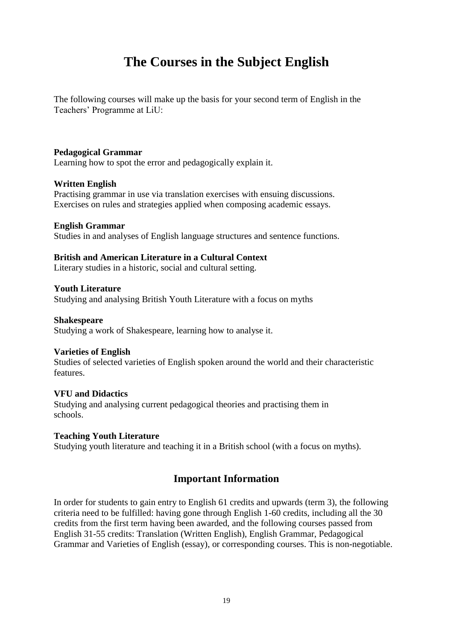# **The Courses in the Subject English**

The following courses will make up the basis for your second term of English in the Teachers' Programme at LiU:

### **Pedagogical Grammar**

Learning how to spot the error and pedagogically explain it.

#### **Written English**

Practising grammar in use via translation exercises with ensuing discussions. Exercises on rules and strategies applied when composing academic essays.

#### **English Grammar**

Studies in and analyses of English language structures and sentence functions.

### **British and American Literature in a Cultural Context**

Literary studies in a historic, social and cultural setting.

## **Youth Literature**

Studying and analysing British Youth Literature with a focus on myths

### **Shakespeare**

Studying a work of Shakespeare, learning how to analyse it.

#### **Varieties of English**

Studies of selected varieties of English spoken around the world and their characteristic features.

## **VFU and Didactics**

Studying and analysing current pedagogical theories and practising them in schools.

#### **Teaching Youth Literature**

Studying youth literature and teaching it in a British school (with a focus on myths).

# **Important Information**

In order for students to gain entry to English 61 credits and upwards (term 3), the following criteria need to be fulfilled: having gone through English 1-60 credits, including all the 30 credits from the first term having been awarded, and the following courses passed from English 31-55 credits: Translation (Written English), English Grammar, Pedagogical Grammar and Varieties of English (essay), or corresponding courses. This is non-negotiable.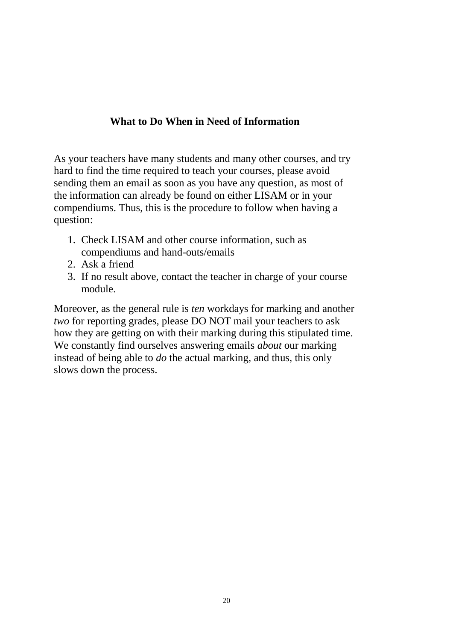# **What to Do When in Need of Information**

As your teachers have many students and many other courses, and try hard to find the time required to teach your courses, please avoid sending them an email as soon as you have any question, as most of the information can already be found on either LISAM or in your compendiums. Thus, this is the procedure to follow when having a question:

- 1. Check LISAM and other course information, such as compendiums and hand-outs/emails
- 2. Ask a friend
- 3. If no result above, contact the teacher in charge of your course module.

Moreover, as the general rule is *ten* workdays for marking and another *two* for reporting grades, please DO NOT mail your teachers to ask how they are getting on with their marking during this stipulated time. We constantly find ourselves answering emails *about* our marking instead of being able to *do* the actual marking, and thus, this only slows down the process.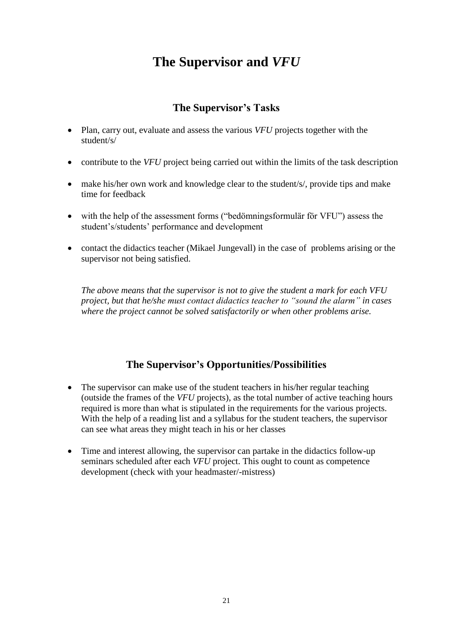# **The Supervisor and** *VFU*

# **The Supervisor's Tasks**

- Plan, carry out, evaluate and assess the various *VFU* projects together with the student/s/
- contribute to the *VFU* project being carried out within the limits of the task description
- make his/her own work and knowledge clear to the student/s/, provide tips and make time for feedback
- with the help of the assessment forms ("bedömningsformulär för VFU") assess the student's/students' performance and development
- contact the didactics teacher (Mikael Jungevall) in the case of problems arising or the supervisor not being satisfied.

*The above means that the supervisor is not to give the student a mark for each VFU project, but that he/she must contact didactics teacher to "sound the alarm" in cases where the project cannot be solved satisfactorily or when other problems arise.*

# **The Supervisor's Opportunities/Possibilities**

- The supervisor can make use of the student teachers in his/her regular teaching (outside the frames of the *VFU* projects), as the total number of active teaching hours required is more than what is stipulated in the requirements for the various projects. With the help of a reading list and a syllabus for the student teachers, the supervisor can see what areas they might teach in his or her classes
- Time and interest allowing, the supervisor can partake in the didactics follow-up seminars scheduled after each *VFU* project. This ought to count as competence development (check with your headmaster/-mistress)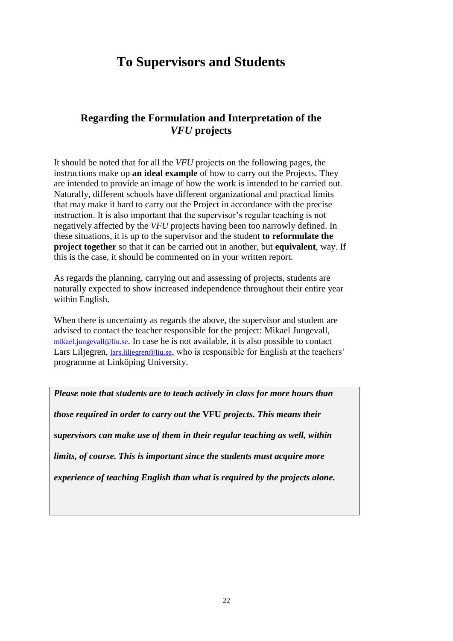# **To Supervisors and Students**

# **Regarding the Formulation and Interpretation of the** *VFU* **projects**

It should be noted that for all the *VFU* projects on the following pages, the instructions make up **an ideal example** of how to carry out the Projects. They are intended to provide an image of how the work is intended to be carried out. Naturally, different schools have different organizational and practical limits that may make it hard to carry out the Project in accordance with the precise instruction. It is also important that the supervisor's regular teaching is not negatively affected by the *VFU* projects having been too narrowly defined. In these situations, it is up to the supervisor and the student **to reformulate the project together** so that it can be carried out in another, but **equivalent**, way. If this is the case, it should be commented on in your written report.

As regards the planning, carrying out and assessing of projects, students are naturally expected to show increased independence throughout their entire year within English.

When there is uncertainty as regards the above, the supervisor and student are advised to contact the teacher responsible for the project: Mikael Jungevall, [mikael.jungevall@liu.se](mailto:mikael.jungevall@liu.se). In case he is not available, it is also possible to contact Lars Liljegren, lars. liljegren@liu.se, who is responsible for English at the teachers' programme at Linköping University.

*Please note that students are to teach actively in class for more hours than those required in order to carry out the* **VFU** *projects. This means their supervisors can make use of them in their regular teaching as well, within limits, of course. This is important since the students must acquire more experience of teaching English than what is required by the projects alone.*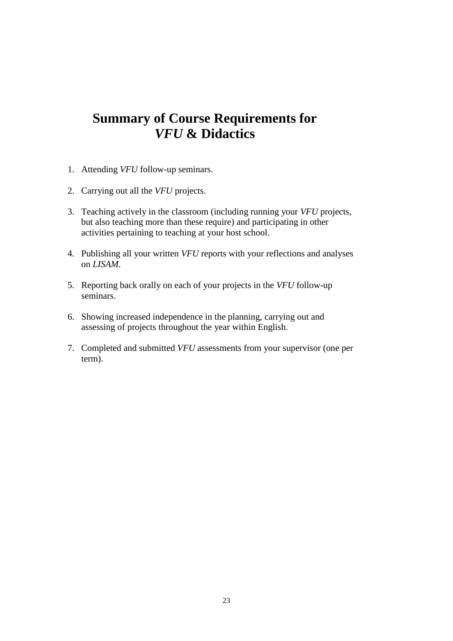# **Summary of Course Requirements for**  *VFU* **& Didactics**

- 1. Attending *VFU* follow-up seminars.
- 2. Carrying out all the *VFU* projects.
- 3. Teaching actively in the classroom (including running your *VFU* projects, but also teaching more than these require) and participating in other activities pertaining to teaching at your host school.
- 4. Publishing all your written *VFU* reports with your reflections and analyses on *LISAM*.
- 5. Reporting back orally on each of your projects in the *VFU* follow-up seminars.
- 6. Showing increased independence in the planning, carrying out and assessing of projects throughout the year within English.
- 7. Completed and submitted *VFU* assessments from your supervisor (one per term).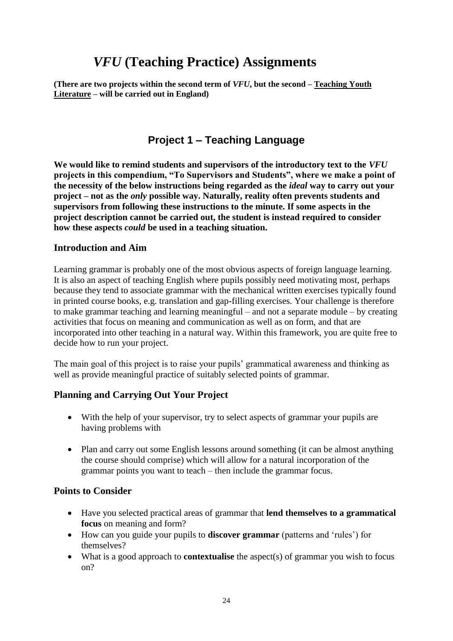# *VFU* **(Teaching Practice) Assignments**

**(There are two projects within the second term of** *VFU***, but the second – Teaching Youth Literature – will be carried out in England)**

# **Project 1 – Teaching Language**

**We would like to remind students and supervisors of the introductory text to the** *VFU* **projects in this compendium, "To Supervisors and Students", where we make a point of the necessity of the below instructions being regarded as the** *ideal* **way to carry out your project – not as the** *only* **possible way. Naturally, reality often prevents students and supervisors from following these instructions to the minute. If some aspects in the project description cannot be carried out, the student is instead required to consider how these aspects** *could* **be used in a teaching situation.**

# **Introduction and Aim**

Learning grammar is probably one of the most obvious aspects of foreign language learning. It is also an aspect of teaching English where pupils possibly need motivating most, perhaps because they tend to associate grammar with the mechanical written exercises typically found in printed course books, e.g. translation and gap-filling exercises. Your challenge is therefore to make grammar teaching and learning meaningful – and not a separate module – by creating activities that focus on meaning and communication as well as on form, and that are incorporated into other teaching in a natural way. Within this framework, you are quite free to decide how to run your project.

The main goal of this project is to raise your pupils' grammatical awareness and thinking as well as provide meaningful practice of suitably selected points of grammar.

# **Planning and Carrying Out Your Project**

- With the help of your supervisor, try to select aspects of grammar your pupils are having problems with
- Plan and carry out some English lessons around something (it can be almost anything the course should comprise) which will allow for a natural incorporation of the grammar points you want to teach – then include the grammar focus.

# **Points to Consider**

- Have you selected practical areas of grammar that **lend themselves to a grammatical focus** on meaning and form?
- How can you guide your pupils to **discover grammar** (patterns and 'rules') for themselves?
- What is a good approach to **contextualise** the aspect(s) of grammar you wish to focus on?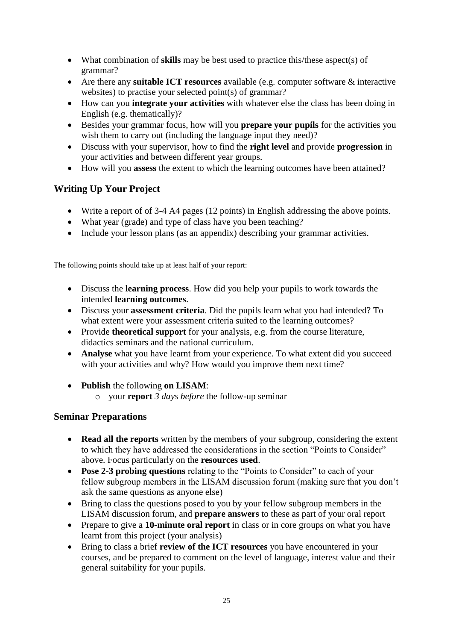- What combination of **skills** may be best used to practice this/these aspect(s) of grammar?
- Are there any **suitable ICT resources** available (e.g. computer software & interactive websites) to practise your selected point(s) of grammar?
- How can you **integrate your activities** with whatever else the class has been doing in English (e.g. thematically)?
- Besides your grammar focus, how will you **prepare your pupils** for the activities you wish them to carry out (including the language input they need)?
- Discuss with your supervisor, how to find the **right level** and provide **progression** in your activities and between different year groups.
- How will you **assess** the extent to which the learning outcomes have been attained?

# **Writing Up Your Project**

- Write a report of of 3-4 A4 pages (12 points) in English addressing the above points.
- What year (grade) and type of class have you been teaching?
- Include your lesson plans (as an appendix) describing your grammar activities.

The following points should take up at least half of your report:

- Discuss the **learning process**. How did you help your pupils to work towards the intended **learning outcomes**.
- Discuss your **assessment criteria**. Did the pupils learn what you had intended? To what extent were your assessment criteria suited to the learning outcomes?
- Provide **theoretical support** for your analysis, e.g. from the course literature, didactics seminars and the national curriculum.
- **Analyse** what you have learnt from your experience. To what extent did you succeed with your activities and why? How would you improve them next time?
- **Publish** the following **on LISAM**:
	- o your **report** *3 days before* the follow-up seminar

# **Seminar Preparations**

- **Read all the reports** written by the members of your subgroup, considering the extent to which they have addressed the considerations in the section "Points to Consider" above. Focus particularly on the **resources used**.
- **Pose 2-3 probing questions** relating to the "Points to Consider" to each of your fellow subgroup members in the LISAM discussion forum (making sure that you don't ask the same questions as anyone else)
- Bring to class the questions posed to you by your fellow subgroup members in the LISAM discussion forum, and **prepare answers** to these as part of your oral report
- Prepare to give a 10-minute oral report in class or in core groups on what you have learnt from this project (your analysis)
- Bring to class a brief **review of the ICT resources** you have encountered in your courses, and be prepared to comment on the level of language, interest value and their general suitability for your pupils.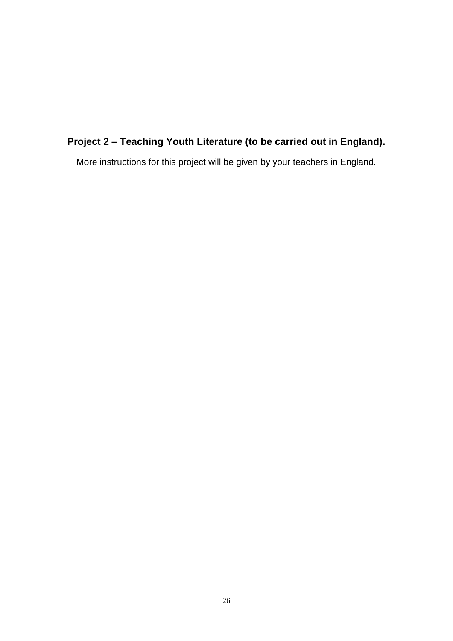# **Project 2 – Teaching Youth Literature (to be carried out in England).**

More instructions for this project will be given by your teachers in England.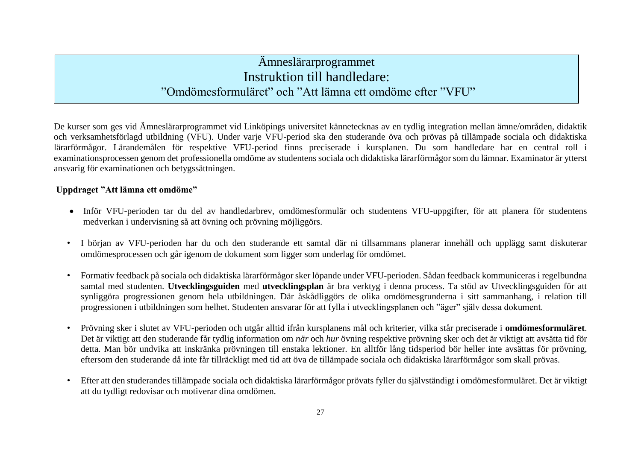# Ämneslärarprogrammet Instruktion till handledare: "Omdömesformuläret" och "Att lämna ett omdöme efter "VFU"

De kurser som ges vid Ämneslärarprogrammet vid Linköpings universitet kännetecknas av en tydlig integration mellan ämne/områden, didaktik och verksamhetsförlagd utbildning (VFU). Under varje VFU-period ska den studerande öva och prövas på tillämpade sociala och didaktiska lärarförmågor. Lärandemålen för respektive VFU-period finns preciserade i kursplanen. Du som handledare har en central roll i examinationsprocessen genom det professionella omdöme av studentens sociala och didaktiska lärarförmågor som du lämnar. Examinator är ytterst ansvarig för examinationen och betygssättningen.

# **Uppdraget "Att lämna ett omdöme"**

- Inför VFU-perioden tar du del av handledarbrev, omdömesformulär och studentens VFU-uppgifter, för att planera för studentens medverkan i undervisning så att övning och prövning möjliggörs.
- I början av VFU-perioden har du och den studerande ett samtal där ni tillsammans planerar innehåll och upplägg samt diskuterar omdömesprocessen och går igenom de dokument som ligger som underlag för omdömet.
- Formativ feedback på sociala och didaktiska lärarförmågor sker löpande under VFU-perioden. Sådan feedback kommuniceras i regelbundna samtal med studenten. **Utvecklingsguiden** med **utvecklingsplan** är bra verktyg i denna process. Ta stöd av Utvecklingsguiden för att synliggöra progressionen genom hela utbildningen. Där åskådliggörs de olika omdömesgrunderna i sitt sammanhang, i relation till progressionen i utbildningen som helhet. Studenten ansvarar för att fylla i utvecklingsplanen och "äger" själv dessa dokument.
- Prövning sker i slutet av VFU-perioden och utgår alltid ifrån kursplanens mål och kriterier, vilka står preciserade i **omdömesformuläret**. Det är viktigt att den studerande får tydlig information om *när* och *hur* övning respektive prövning sker och det är viktigt att avsätta tid för detta. Man bör undvika att inskränka prövningen till enstaka lektioner. En alltför lång tidsperiod bör heller inte avsättas för prövning, eftersom den studerande då inte får tillräckligt med tid att öva de tillämpade sociala och didaktiska lärarförmågor som skall prövas.
- Efter att den studerandes tillämpade sociala och didaktiska lärarförmågor prövats fyller du självständigt i omdömesformuläret. Det är viktigt att du tydligt redovisar och motiverar dina omdömen.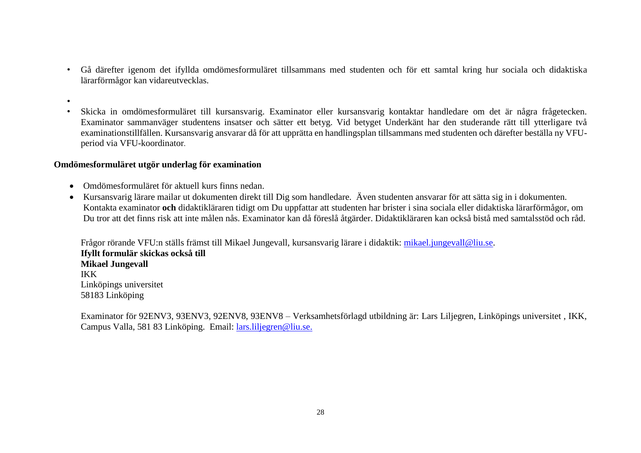- Gå därefter igenom det ifyllda omdömesformuläret tillsammans med studenten och för ett samtal kring hur sociala och didaktiska lärarförmågor kan vidareutvecklas.
- •
- Skicka in omdömesformuläret till kursansvarig. Examinator eller kursansvarig kontaktar handledare om det är några frågetecken. Examinator sammanväger studentens insatser och sätter ett betyg. Vid betyget Underkänt har den studerande rätt till ytterligare två examinationstillfällen. Kursansvarig ansvarar då för att upprätta en handlingsplan tillsammans med studenten och därefter beställa ny VFUperiod via VFU-koordinator.

## **Omdömesformuläret utgör underlag för examination**

- Omdömesformuläret för aktuell kurs finns nedan.
- Kursansvarig lärare mailar ut dokumenten direkt till Dig som handledare. Även studenten ansvarar för att sätta sig in i dokumenten. Kontakta examinator **och** didaktikläraren tidigt om Du uppfattar att studenten har brister i sina sociala eller didaktiska lärarförmågor, om Du tror att det finns risk att inte målen nås. Examinator kan då föreslå åtgärder. Didaktikläraren kan också bistå med samtalsstöd och råd.

Frågor rörande VFU:n ställs främst till Mikael Jungevall, kursansvarig lärare i didaktik: [mikael.jungevall@liu.se.](mailto:mikael.jungevall@liu.se) **Ifyllt formulär skickas också till Mikael Jungevall** IKK Linköpings universitet 58183 Linköping

Examinator för 92ENV3, 93ENV3, 92ENV8, 93ENV8 – Verksamhetsförlagd utbildning är: Lars Liljegren, Linköpings universitet , IKK, Campus Valla, 581 83 Linköping. Email: [lars.liljegren@liu.se.](mailto:lars.liljegren@liu.se)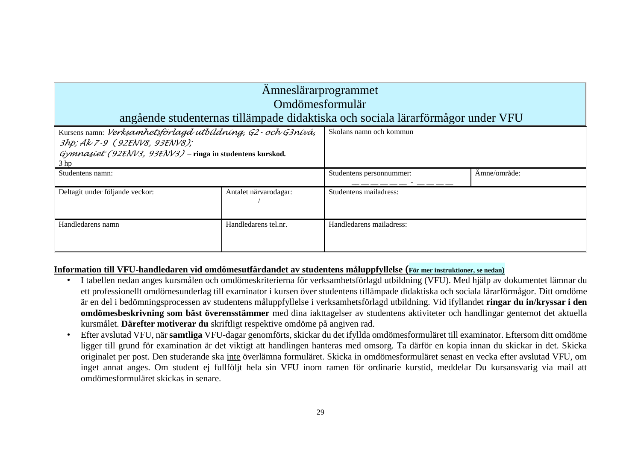| Amneslärarprogrammet<br>Omdömesformulär<br>angående studenternas tillämpade didaktiska och sociala lärarförmågor under VFU                                                       |                       |                          |              |  |  |
|----------------------------------------------------------------------------------------------------------------------------------------------------------------------------------|-----------------------|--------------------------|--------------|--|--|
| Kursens namn: Verksamhetsförlagd utbildning, G2 - och G3nivå,<br>3hp; Ak 7-9 (92ENV8, 93ENV8);<br>$Gymnasíet (92ENV3, 93ENV3)$ – ringa in studentens kurskod.<br>3 <sub>hp</sub> |                       | Skolans namn och kommun  |              |  |  |
| Studentens namn:                                                                                                                                                                 |                       | Studentens personnummer: | Amne/område: |  |  |
| Deltagit under följande veckor:                                                                                                                                                  | Antalet närvarodagar: | Studentens mailadress:   |              |  |  |
| Handledarens namn                                                                                                                                                                | Handledarens tel.nr.  | Handledarens mailadress: |              |  |  |

# **Information till VFU-handledaren vid omdömesutfärdandet av studentens måluppfyllelse (För mer instruktioner, se nedan)**

- I tabellen nedan anges kursmålen och omdömeskriterierna för verksamhetsförlagd utbildning (VFU). Med hjälp av dokumentet lämnar du ett professionellt omdömesunderlag till examinator i kursen över studentens tillämpade didaktiska och sociala lärarförmågor. Ditt omdöme är en del i bedömningsprocessen av studentens måluppfyllelse i verksamhetsförlagd utbildning. Vid ifyllandet **ringar du in/kryssar i den omdömesbeskrivning som bäst överensstämmer** med dina iakttagelser av studentens aktiviteter och handlingar gentemot det aktuella kursmålet. **Därefter motiverar du** skriftligt respektive omdöme på angiven rad.
- Efter avslutad VFU, när **samtliga** VFU-dagar genomförts, skickar du det ifyllda omdömesformuläret till examinator. Eftersom ditt omdöme ligger till grund för examination är det viktigt att handlingen hanteras med omsorg. Ta därför en kopia innan du skickar in det. Skicka originalet per post. Den studerande ska inte överlämna formuläret. Skicka in omdömesformuläret senast en vecka efter avslutad VFU, om inget annat anges. Om student ej fullföljt hela sin VFU inom ramen för ordinarie kurstid, meddelar Du kursansvarig via mail att omdömesformuläret skickas in senare.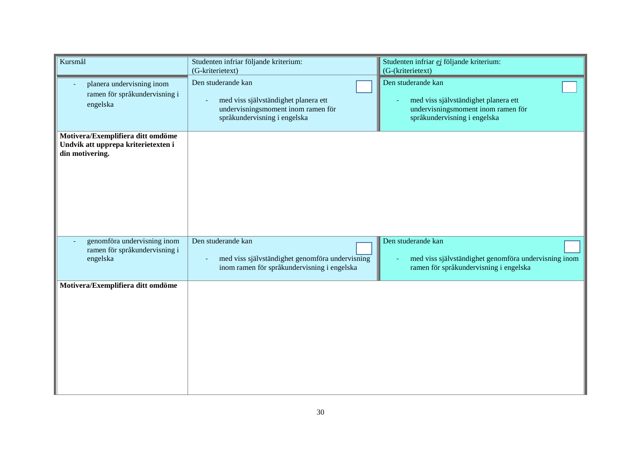| Kursmål                                                                                     | Studenten infriar följande kriterium:<br>(G-kriterietext)                                                                              | Studenten infriar ej följande kriterium:<br>(G-(kriterietext)                                                                    |
|---------------------------------------------------------------------------------------------|----------------------------------------------------------------------------------------------------------------------------------------|----------------------------------------------------------------------------------------------------------------------------------|
| planera undervisning inom<br>ramen för språkundervisning i<br>engelska                      | Den studerande kan<br>med viss självständighet planera ett<br>undervisningsmoment inom ramen för<br>språkundervisning i engelska       | Den studerande kan<br>med viss självständighet planera ett<br>undervisningsmoment inom ramen för<br>språkundervisning i engelska |
| Motivera/Exemplifiera ditt omdöme<br>Undvik att upprepa kriterietexten i<br>din motivering. |                                                                                                                                        |                                                                                                                                  |
| genomföra undervisning inom<br>ramen för språkundervisning i<br>engelska                    | Den studerande kan<br>med viss självständighet genomföra undervisning<br>$\overline{a}$<br>inom ramen för språkundervisning i engelska | Den studerande kan<br>med viss självständighet genomföra undervisning inom<br>ramen för språkundervisning i engelska             |
| Motivera/Exemplifiera ditt omdöme                                                           |                                                                                                                                        |                                                                                                                                  |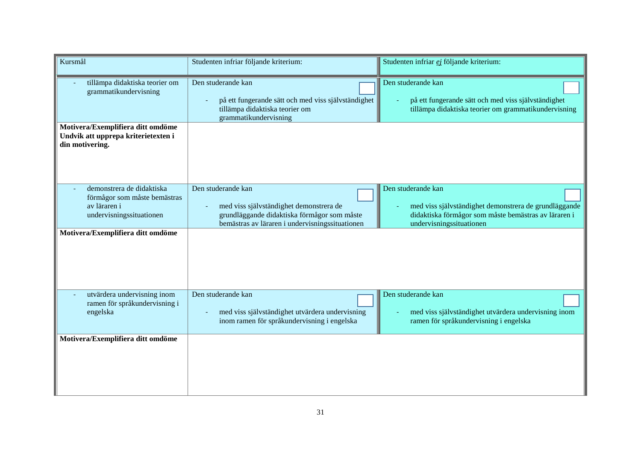| Kursmål                                                                                               | Studenten infriar följande kriterium:                                                                                                                           | Studenten infriar ej följande kriterium:                                                                                                                        |
|-------------------------------------------------------------------------------------------------------|-----------------------------------------------------------------------------------------------------------------------------------------------------------------|-----------------------------------------------------------------------------------------------------------------------------------------------------------------|
| tillämpa didaktiska teorier om<br>grammatikundervisning                                               | Den studerande kan<br>på ett fungerande sätt och med viss självständighet<br>tillämpa didaktiska teorier om<br>grammatikundervisning                            | Den studerande kan<br>på ett fungerande sätt och med viss självständighet<br>tillämpa didaktiska teorier om grammatikundervisning                               |
| Motivera/Exemplifiera ditt omdöme<br>Undvik att upprepa kriterietexten i<br>din motivering.           |                                                                                                                                                                 |                                                                                                                                                                 |
| demonstrera de didaktiska<br>förmågor som måste bemästras<br>av läraren i<br>undervisningssituationen | Den studerande kan<br>med viss självständighet demonstrera de<br>grundläggande didaktiska förmågor som måste<br>bemästras av läraren i undervisningssituationen | Den studerande kan<br>med viss självständighet demonstrera de grundläggande<br>didaktiska förmågor som måste bemästras av läraren i<br>undervisningssituationen |
| Motivera/Exemplifiera ditt omdöme                                                                     |                                                                                                                                                                 |                                                                                                                                                                 |
| utvärdera undervisning inom<br>ramen för språkundervisning i<br>engelska                              | Den studerande kan<br>med viss självständighet utvärdera undervisning<br>inom ramen för språkundervisning i engelska                                            | Den studerande kan<br>med viss självständighet utvärdera undervisning inom<br>ramen för språkundervisning i engelska                                            |
| Motivera/Exemplifiera ditt omdöme                                                                     |                                                                                                                                                                 |                                                                                                                                                                 |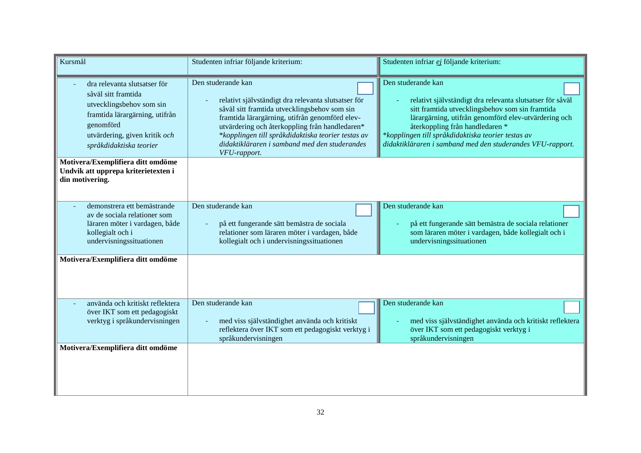| Kursmål                                                                                                                                                                                    | Studenten infriar följande kriterium:                                                                                                                                                                                                                                                                                                                | Studenten infriar ej följande kriterium:                                                                                                                                                                                                                                                                                                          |  |
|--------------------------------------------------------------------------------------------------------------------------------------------------------------------------------------------|------------------------------------------------------------------------------------------------------------------------------------------------------------------------------------------------------------------------------------------------------------------------------------------------------------------------------------------------------|---------------------------------------------------------------------------------------------------------------------------------------------------------------------------------------------------------------------------------------------------------------------------------------------------------------------------------------------------|--|
| dra relevanta slutsatser för<br>såväl sitt framtida<br>utvecklingsbehov som sin<br>framtida lärargärning, utifrån<br>genomförd<br>utvärdering, given kritik och<br>språkdidaktiska teorier | Den studerande kan<br>relativt självständigt dra relevanta slutsatser för<br>såväl sitt framtida utvecklingsbehov som sin<br>framtida lärargärning, utifrån genomförd elev-<br>utvärdering och återkoppling från handledaren*<br>*kopplingen till språkdidaktiska teorier testas av<br>didaktikläraren i samband med den studerandes<br>VFU-rapport. | Den studerande kan<br>relativt självständigt dra relevanta slutsatser för såväl<br>sitt framtida utvecklingsbehov som sin framtida<br>lärargärning, utifrån genomförd elev-utvärdering och<br>återkoppling från handledaren *<br>*kopplingen till språkdidaktiska teorier testas av<br>didaktikläraren i samband med den studerandes VFU-rapport. |  |
| Motivera/Exemplifiera ditt omdöme<br>Undvik att upprepa kriterietexten i<br>din motivering.                                                                                                |                                                                                                                                                                                                                                                                                                                                                      |                                                                                                                                                                                                                                                                                                                                                   |  |
| demonstrera ett bemästrande<br>av de sociala relationer som<br>läraren möter i vardagen, både<br>kollegialt och i<br>undervisningssituationen                                              | Den studerande kan<br>på ett fungerande sätt bemästra de sociala<br>$\blacksquare$<br>relationer som läraren möter i vardagen, både<br>kollegialt och i undervisningssituationen                                                                                                                                                                     | Den studerande kan<br>på ett fungerande sätt bemästra de sociala relationer<br>som läraren möter i vardagen, både kollegialt och i<br>undervisningssituationen                                                                                                                                                                                    |  |
| Motivera/Exemplifiera ditt omdöme                                                                                                                                                          |                                                                                                                                                                                                                                                                                                                                                      |                                                                                                                                                                                                                                                                                                                                                   |  |
| använda och kritiskt reflektera<br>över IKT som ett pedagogiskt<br>verktyg i språkundervisningen                                                                                           | Den studerande kan<br>med viss självständighet använda och kritiskt<br>reflektera över IKT som ett pedagogiskt verktyg i<br>språkundervisningen                                                                                                                                                                                                      | Den studerande kan<br>med viss självständighet använda och kritiskt reflektera<br>över IKT som ett pedagogiskt verktyg i<br>språkundervisningen                                                                                                                                                                                                   |  |
| Motivera/Exemplifiera ditt omdöme                                                                                                                                                          |                                                                                                                                                                                                                                                                                                                                                      |                                                                                                                                                                                                                                                                                                                                                   |  |